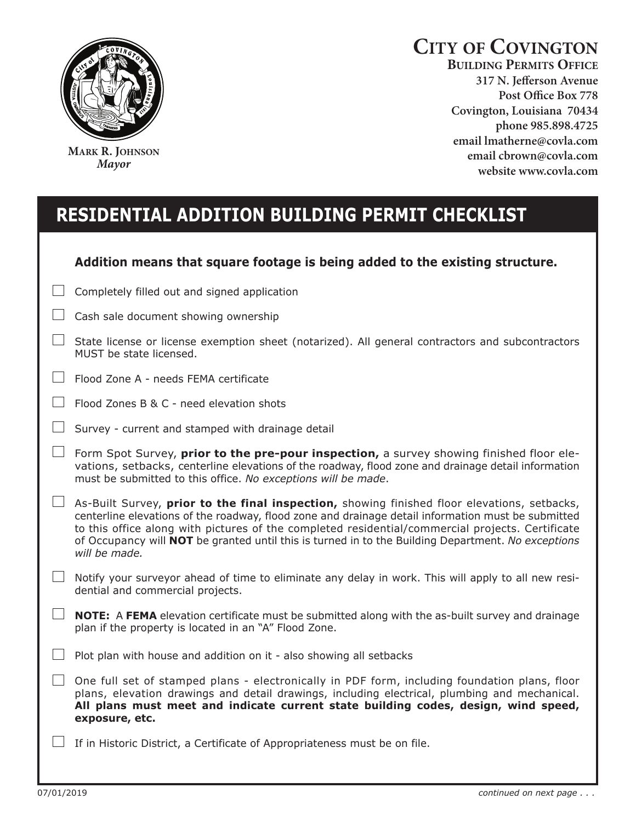

**MARK R. JOHNSON** *Mayor*

## **CITY OF COVINGTON**

**BUILDING PERMITS OFFICE 317 N. Jefferson Avenue**  Covington, Louisiana 70434 phone 985.898.4725 email lmatherne@covla.com **email chrown@covla.com** website www.covla.com

## **rEsidENTiAl AddiTiON buildiNg pErMiT chEcklisT**

| Addition means that square footage is being added to the existing structure. |  |  |  |  |  |
|------------------------------------------------------------------------------|--|--|--|--|--|
|------------------------------------------------------------------------------|--|--|--|--|--|

Completely filled out and signed application

|  |  |  |  |  | $\Box$ Cash sale document showing ownership |
|--|--|--|--|--|---------------------------------------------|
|--|--|--|--|--|---------------------------------------------|

| $\Box$ State license or license exemption sheet (notarized). All general contractors and subcontractors |
|---------------------------------------------------------------------------------------------------------|
| MUST be state licensed.                                                                                 |

- Flood Zone A needs FEMA certificate
- $\sim 10^{-1}$ Flood Zones B & C - need elevation shots
- $\Box$  Survey current and stamped with drainage detail
- Form Spot Survey, **prior to the pre-pour inspection,** a survey showing finished floor elevations, setbacks, centerline elevations of the roadway, flood zone and drainage detail information must be submitted to this office. *No exceptions will be made*.
- As-Built Survey, **prior to the final inspection,** showing finished floor elevations, setbacks, centerline elevations of the roadway, flood zone and drainage detail information must be submitted to this office along with pictures of the completed residential/commercial projects. Certificate of Occupancy will **NOT** be granted until this is turned in to the Building Department. *No exceptions will be made.*
- $\Box$  Notify your surveyor ahead of time to eliminate any delay in work. This will apply to all new residential and commercial projects.
- **NOTE:** A FEMA elevation certificate must be submitted along with the as-built survey and drainage plan if the property is located in an "A" Flood Zone.
- $\Box$  Plot plan with house and addition on it also showing all setbacks
- $\Box$  One full set of stamped plans electronically in PDF form, including foundation plans, floor plans, elevation drawings and detail drawings, including electrical, plumbing and mechanical. **All plans must meet and indicate current state building codes, design, wind speed, exposure, etc.**

 $\Box$  If in Historic District, a Certificate of Appropriateness must be on file.